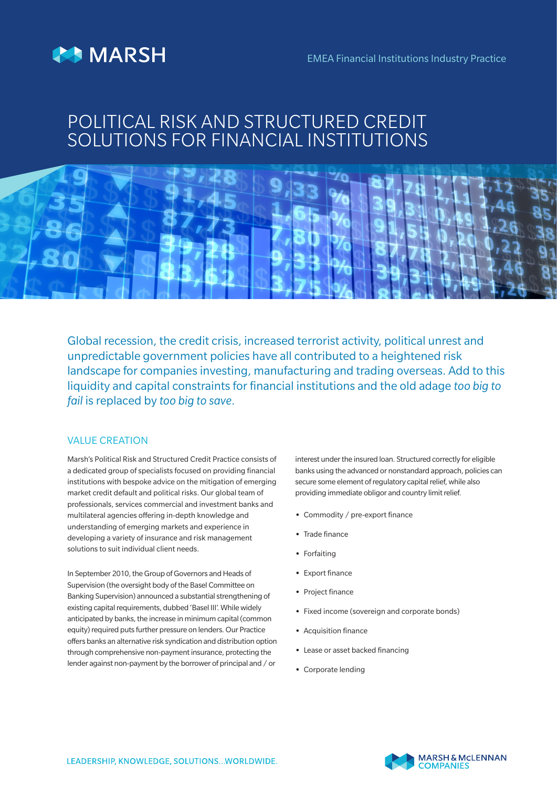



## POLITICAL RISK AND STRUCTURED CREDIT SOLUTIONS FOR FINANCIAL INSTITUTIONS



Global recession, the credit crisis, increased terrorist activity, political unrest and unpredictable government policies have all contributed to a heightened risk landscape for companies investing, manufacturing and trading overseas. Add to this liquidity and capital constraints for financial institutions and the old adage *too big to fail* is replaced by *too big to save*.

## VALUE CREATION

Marsh's Political Risk and Structured Credit Practice consists of a dedicated group of specialists focused on providing financial institutions with bespoke advice on the mitigation of emerging market credit default and political risks. Our global team of professionals, services commercial and investment banks and multilateral agencies offering in-depth knowledge and understanding of emerging markets and experience in developing a variety of insurance and risk management solutions to suit individual client needs.

In September 2010, the Group of Governors and Heads of Supervision (the oversight body of the Basel Committee on Banking Supervision) announced a substantial strengthening of existing capital requirements, dubbed 'Basel III'. While widely anticipated by banks, the increase in minimum capital (common equity) required puts further pressure on lenders. Our Practice offers banks an alternative risk syndication and distribution option through comprehensive non-payment insurance, protecting the lender against non-payment by the borrower of principal and / or

interest under the insured loan. Structured correctly for eligible banks using the advanced or nonstandard approach, policies can secure some element of regulatory capital relief, while also providing immediate obligor and country limit relief.

- **•** Commodity / pre-export finance
- **•** Trade finance
- **•** Forfaiting
- **•** Export finance
- **•** Project finance
- **•** Fixed income (sovereign and corporate bonds)
- **•** Acquisition finance
- **•** Lease or asset backed financing
- **•** Corporate lending